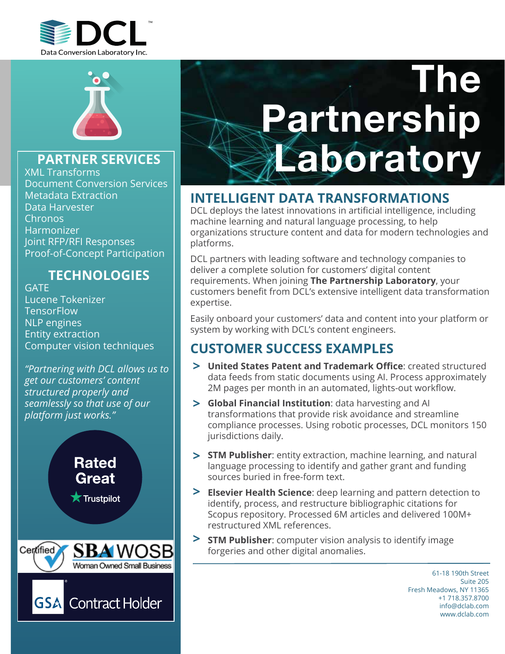



#### **PARTNER SERVICES**

XML Transforms Document Conversion Services Metadata Extraction Data Harvester **Chronos Harmonizer** Joint RFP/RFI Responses Proof-of-Concept Participation

#### **TECHNOLOGIES**

**GATE** Lucene Tokenizer **TensorFlow** NLP engines Entity extraction Computer vision techniques

*"Partnering with DCL allows us to get our customers' content structured properly and seamlessly so that use of our platform just works."*



# **The Partnership Laboratory**

### **INTELLIGENT DATA TRANSFORMATIONS**

DCL deploys the latest innovations in artificial intelligence, including machine learning and natural language processing, to help organizations structure content and data for modern technologies and platforms.

DCL partners with leading software and technology companies to deliver a complete solution for customers' digital content requirements. When joining **The Partnership Laboratory**, your customers benefit from DCL's extensive intelligent data transformation expertise.

Easily onboard your customers' data and content into your platform or system by working with DCL's content engineers.

#### **CUSTOMER SUCCESS EXAMPLES**

- **United States Patent and Trademark Office**: created structured **>** data feeds from static documents using AI. Process approximately 2M pages per month in an automated, lights-out workflow.
- **Global Financial Institution**: data harvesting and AI **>** transformations that provide risk avoidance and streamline compliance processes. Using robotic processes, DCL monitors 150 jurisdictions daily.
- **STM Publisher**: entity extraction, machine learning, and natural **>** language processing to identify and gather grant and funding sources buried in free-form text.
- **Elsevier Health Science**: deep learning and pattern detection to **>** identify, process, and restructure bibliographic citations for Scopus repository. Processed 6M articles and delivered 100M+ restructured XML references.
- **STM Publisher**: computer vision analysis to identify image **>** forgeries and other digital anomalies.

61-18 190th Street Suite 205 Fresh Meadows, NY 11365 +1 718.357.8700 info@dclab.com www.dclab.com